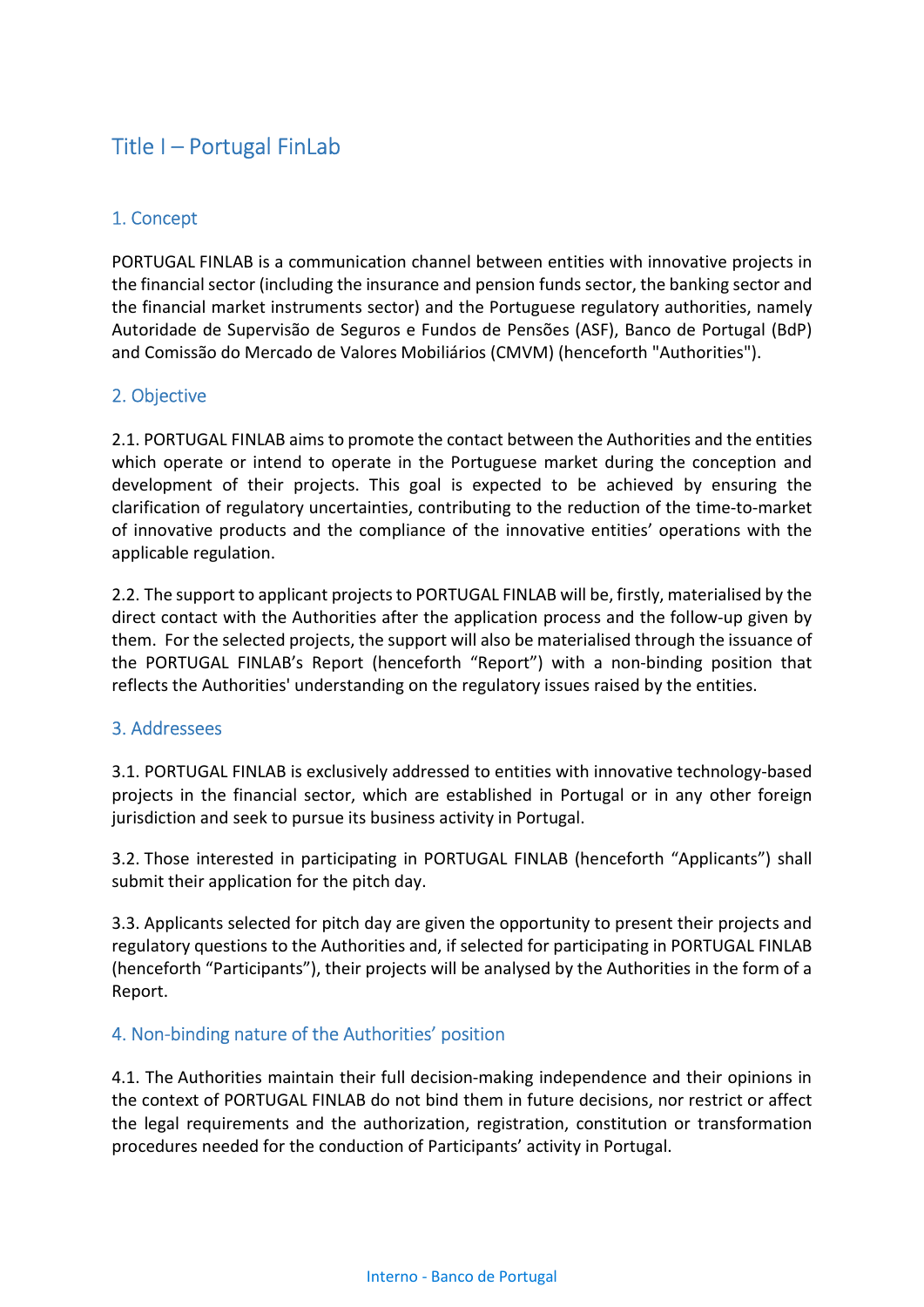# Title I – Portugal FinLab

## 1. Concept

PORTUGAL FINLAB is a communication channel between entities with innovative projects in the financial sector (including the insurance and pension funds sector, the banking sector and the financial market instruments sector) and the Portuguese regulatory authorities, namely Autoridade de Supervisão de Seguros e Fundos de Pensões (ASF), Banco de Portugal (BdP) and Comissão do Mercado de Valores Mobiliários (CMVM) (henceforth "Authorities").

### 2. Objective

2.1. PORTUGAL FINLAB aims to promote the contact between the Authorities and the entities which operate or intend to operate in the Portuguese market during the conception and development of their projects. This goal is expected to be achieved by ensuring the clarification of regulatory uncertainties, contributing to the reduction of the time-to-market of innovative products and the compliance of the innovative entities' operations with the applicable regulation.

2.2. The support to applicant projects to PORTUGAL FINLAB will be, firstly, materialised by the direct contact with the Authorities after the application process and the follow-up given by them. For the selected projects, the support will also be materialised through the issuance of the PORTUGAL FINLAB's Report (henceforth "Report") with a non-binding position that reflects the Authorities' understanding on the regulatory issues raised by the entities.

#### 3. Addressees

3.1. PORTUGAL FINLAB is exclusively addressed to entities with innovative technology-based projects in the financial sector, which are established in Portugal or in any other foreign jurisdiction and seek to pursue its business activity in Portugal.

3.2. Those interested in participating in PORTUGAL FINLAB (henceforth "Applicants") shall submit their application for the pitch day.

3.3. Applicants selected for pitch day are given the opportunity to present their projects and regulatory questions to the Authorities and, if selected for participating in PORTUGAL FINLAB (henceforth "Participants"), their projects will be analysed by the Authorities in the form of a Report.

#### 4. Non-binding nature of the Authorities' position

4.1. The Authorities maintain their full decision-making independence and their opinions in the context of PORTUGAL FINLAB do not bind them in future decisions, nor restrict or affect the legal requirements and the authorization, registration, constitution or transformation procedures needed for the conduction of Participants' activity in Portugal.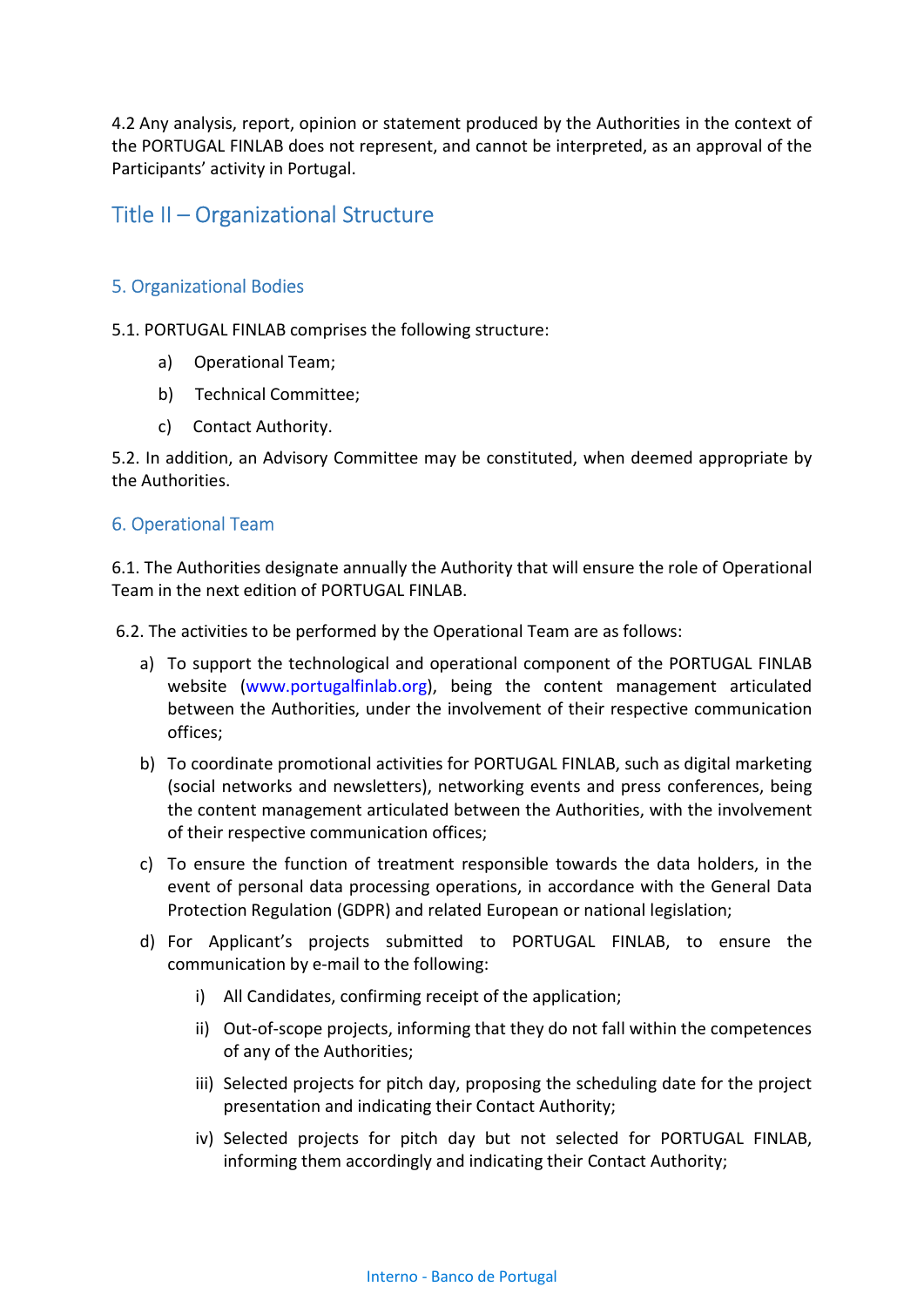4.2 Any analysis, report, opinion or statement produced by the Authorities in the context of the PORTUGAL FINLAB does not represent, and cannot be interpreted, as an approval of the Participants' activity in Portugal.

## Title II – Organizational Structure

#### 5. Organizational Bodies

5.1. PORTUGAL FINLAB comprises the following structure:

- a) Operational Team;
- b) Technical Committee;
- c) Contact Authority.

5.2. In addition, an Advisory Committee may be constituted, when deemed appropriate by the Authorities.

### 6. Operational Team

6.1. The Authorities designate annually the Authority that will ensure the role of Operational Team in the next edition of PORTUGAL FINLAB.

6.2. The activities to be performed by the Operational Team are as follows:

- a) To support the technological and operational component of the PORTUGAL FINLAB website (www.portugalfinlab.org), being the content management articulated between the Authorities, under the involvement of their respective communication offices;
- b) To coordinate promotional activities for PORTUGAL FINLAB, such as digital marketing (social networks and newsletters), networking events and press conferences, being the content management articulated between the Authorities, with the involvement of their respective communication offices;
- c) To ensure the function of treatment responsible towards the data holders, in the event of personal data processing operations, in accordance with the General Data Protection Regulation (GDPR) and related European or national legislation;
- d) For Applicant's projects submitted to PORTUGAL FINLAB, to ensure the communication by e-mail to the following:
	- i) All Candidates, confirming receipt of the application;
	- ii) Out-of-scope projects, informing that they do not fall within the competences of any of the Authorities;
	- iii) Selected projects for pitch day, proposing the scheduling date for the project presentation and indicating their Contact Authority;
	- iv) Selected projects for pitch day but not selected for PORTUGAL FINLAB, informing them accordingly and indicating their Contact Authority;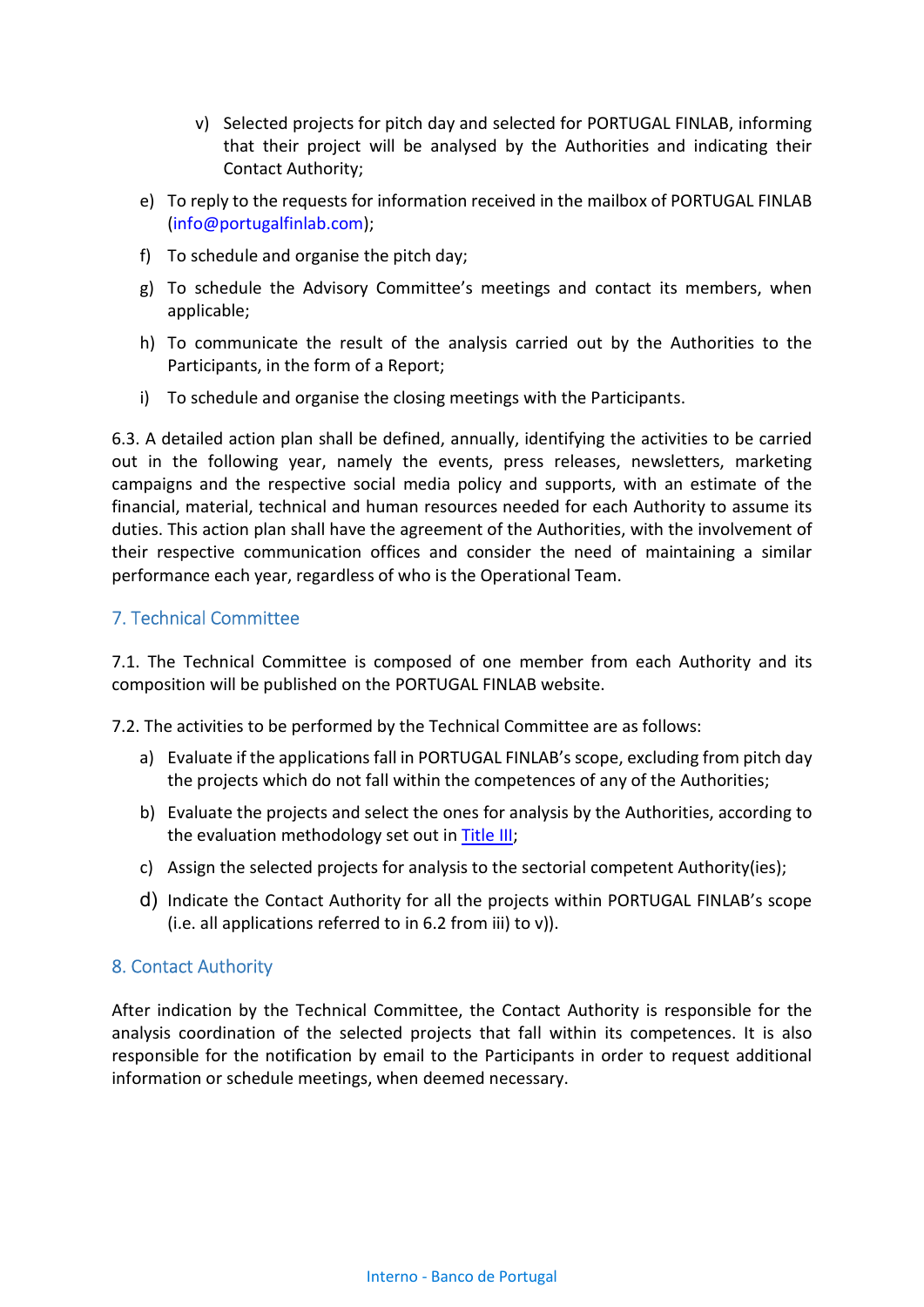- v) Selected projects for pitch day and selected for PORTUGAL FINLAB, informing that their project will be analysed by the Authorities and indicating their Contact Authority;
- e) To reply to the requests for information received in the mailbox of PORTUGAL FINLAB (info@portugalfinlab.com);
- f) To schedule and organise the pitch day;
- g) To schedule the Advisory Committee's meetings and contact its members, when applicable;
- h) To communicate the result of the analysis carried out by the Authorities to the Participants, in the form of a Report;
- i) To schedule and organise the closing meetings with the Participants.

6.3. A detailed action plan shall be defined, annually, identifying the activities to be carried out in the following year, namely the events, press releases, newsletters, marketing campaigns and the respective social media policy and supports, with an estimate of the financial, material, technical and human resources needed for each Authority to assume its duties. This action plan shall have the agreement of the Authorities, with the involvement of their respective communication offices and consider the need of maintaining a similar performance each year, regardless of who is the Operational Team.

### 7. Technical Committee

7.1. The Technical Committee is composed of one member from each Authority and its composition will be published on the PORTUGAL FINLAB website.

7.2. The activities to be performed by the Technical Committee are as follows:

- a) Evaluate if the applications fall in PORTUGAL FINLAB's scope, excluding from pitch day the projects which do not fall within the competences of any of the Authorities;
- b) Evaluate the projects and select the ones for analysis by the Authorities, according to the evaluation methodology set out in Title III;
- c) Assign the selected projects for analysis to the sectorial competent Authority(ies);
- d) Indicate the Contact Authority for all the projects within PORTUGAL FINLAB's scope (i.e. all applications referred to in 6.2 from iii) to v)).

#### 8. Contact Authority

After indication by the Technical Committee, the Contact Authority is responsible for the analysis coordination of the selected projects that fall within its competences. It is also responsible for the notification by email to the Participants in order to request additional information or schedule meetings, when deemed necessary.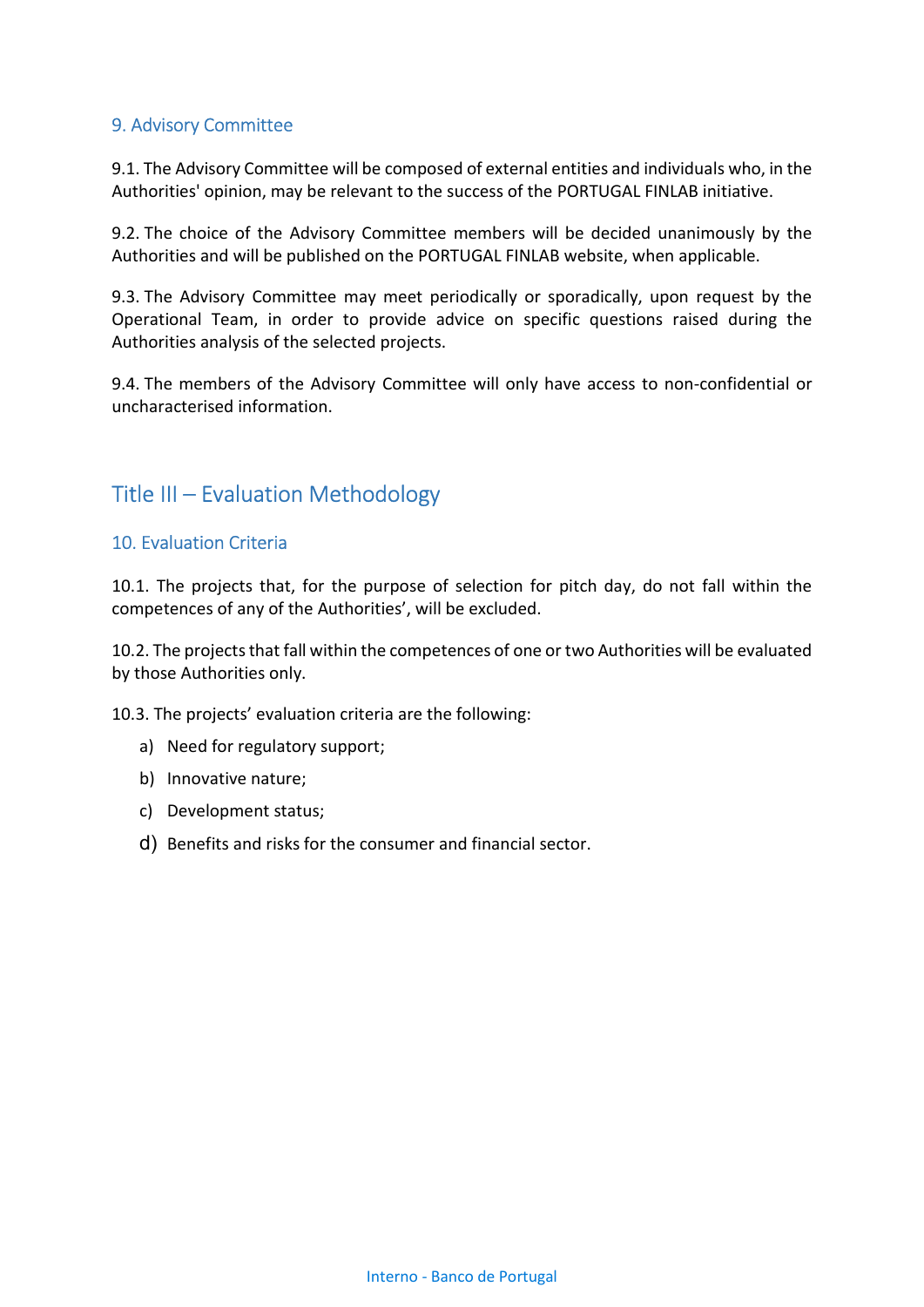### 9. Advisory Committee

9.1. The Advisory Committee will be composed of external entities and individuals who, in the Authorities' opinion, may be relevant to the success of the PORTUGAL FINLAB initiative.

9.2. The choice of the Advisory Committee members will be decided unanimously by the Authorities and will be published on the PORTUGAL FINLAB website, when applicable.

9.3. The Advisory Committee may meet periodically or sporadically, upon request by the Operational Team, in order to provide advice on specific questions raised during the Authorities analysis of the selected projects.

9.4. The members of the Advisory Committee will only have access to non-confidential or uncharacterised information.

## Title III – Evaluation Methodology

#### 10. Evaluation Criteria

10.1. The projects that, for the purpose of selection for pitch day, do not fall within the competences of any of the Authorities', will be excluded.

10.2. The projects that fall within the competences of one or two Authorities will be evaluated by those Authorities only.

10.3. The projects' evaluation criteria are the following:

- a) Need for regulatory support;
- b) Innovative nature;
- c) Development status;
- d) Benefits and risks for the consumer and financial sector.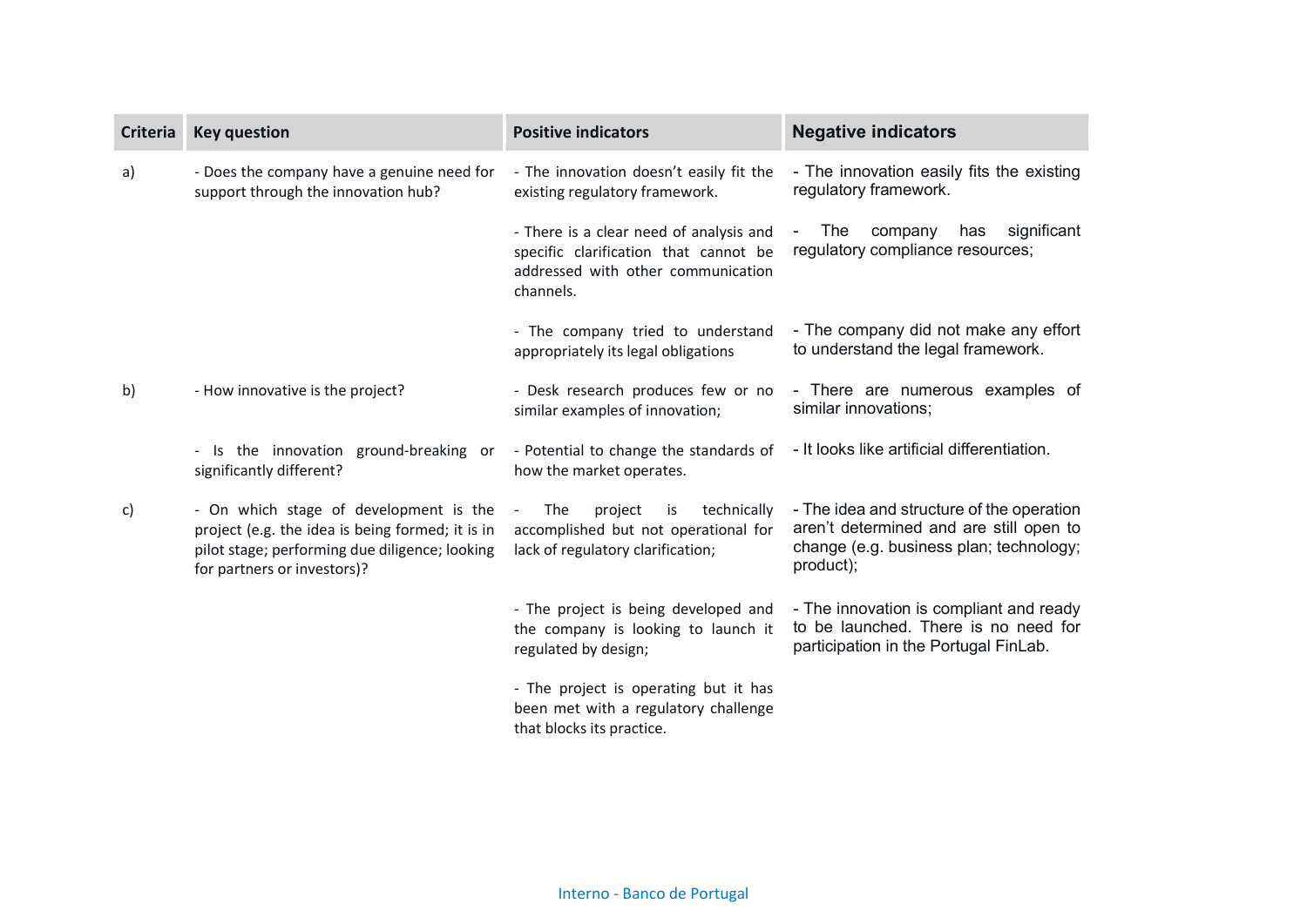| <b>Criteria</b> | <b>Key question</b>                                                                                                                                                         | <b>Positive indicators</b>                                                                                                          | <b>Negative indicators</b>                                                                                                                   |
|-----------------|-----------------------------------------------------------------------------------------------------------------------------------------------------------------------------|-------------------------------------------------------------------------------------------------------------------------------------|----------------------------------------------------------------------------------------------------------------------------------------------|
| a)              | - Does the company have a genuine need for<br>support through the innovation hub?                                                                                           | - The innovation doesn't easily fit the<br>existing regulatory framework.                                                           | - The innovation easily fits the existing<br>regulatory framework.                                                                           |
|                 |                                                                                                                                                                             | - There is a clear need of analysis and<br>specific clarification that cannot be<br>addressed with other communication<br>channels. | significant<br>The<br>company<br>has<br>regulatory compliance resources;                                                                     |
|                 |                                                                                                                                                                             | - The company tried to understand<br>appropriately its legal obligations                                                            | - The company did not make any effort<br>to understand the legal framework.                                                                  |
| b)              | - How innovative is the project?                                                                                                                                            | - Desk research produces few or no<br>similar examples of innovation;                                                               | - There are numerous examples of<br>similar innovations;                                                                                     |
|                 | - Is the innovation ground-breaking or<br>significantly different?                                                                                                          | - Potential to change the standards of<br>how the market operates.                                                                  | - It looks like artificial differentiation.                                                                                                  |
| C)              | - On which stage of development is the<br>project (e.g. the idea is being formed; it is in<br>pilot stage; performing due diligence; looking<br>for partners or investors)? | project<br>technically<br><b>The</b><br>is<br>accomplished but not operational for<br>lack of regulatory clarification;             | - The idea and structure of the operation<br>aren't determined and are still open to<br>change (e.g. business plan; technology;<br>product); |
|                 |                                                                                                                                                                             | - The project is being developed and<br>the company is looking to launch it<br>regulated by design;                                 | - The innovation is compliant and ready<br>to be launched. There is no need for<br>participation in the Portugal FinLab.                     |
|                 |                                                                                                                                                                             | - The project is operating but it has<br>been met with a regulatory challenge<br>that blocks its practice.                          |                                                                                                                                              |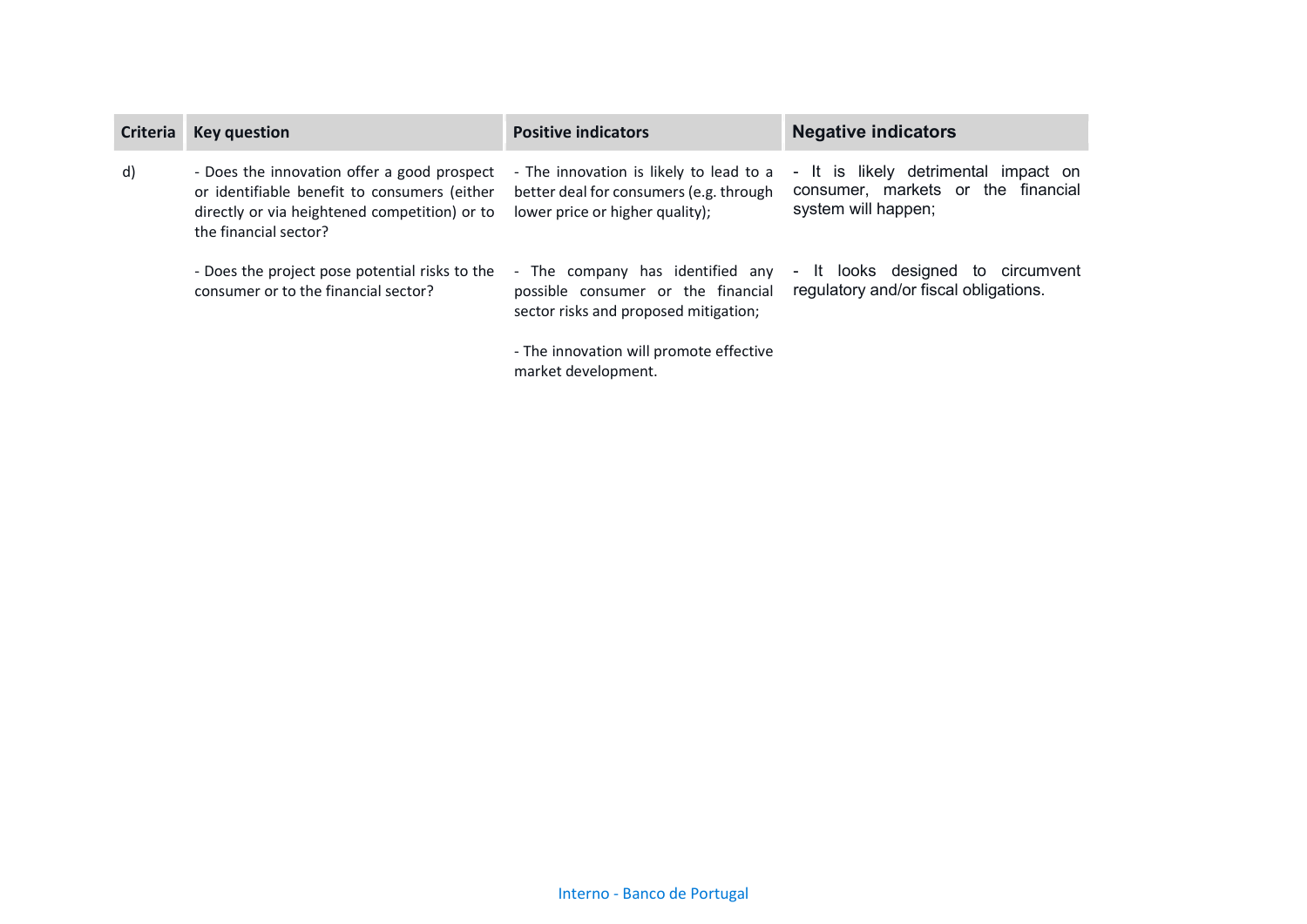| <b>Criteria</b> | <b>Key question</b>                                                                                                                                                   | <b>Positive indicators</b>                                                                                            | <b>Negative indicators</b>                                                                        |
|-----------------|-----------------------------------------------------------------------------------------------------------------------------------------------------------------------|-----------------------------------------------------------------------------------------------------------------------|---------------------------------------------------------------------------------------------------|
| d)              | - Does the innovation offer a good prospect<br>or identifiable benefit to consumers (either<br>directly or via heightened competition) or to<br>the financial sector? | - The innovation is likely to lead to a<br>better deal for consumers (e.g. through<br>lower price or higher quality); | - It is likely detrimental impact on<br>consumer, markets or the financial<br>system will happen; |
|                 | - Does the project pose potential risks to the<br>consumer or to the financial sector?                                                                                | - The company has identified any<br>possible consumer or the financial<br>sector risks and proposed mitigation;       | - It looks designed to<br>circumvent<br>regulatory and/or fiscal obligations.                     |
|                 |                                                                                                                                                                       | - The innovation will promote effective<br>market development.                                                        |                                                                                                   |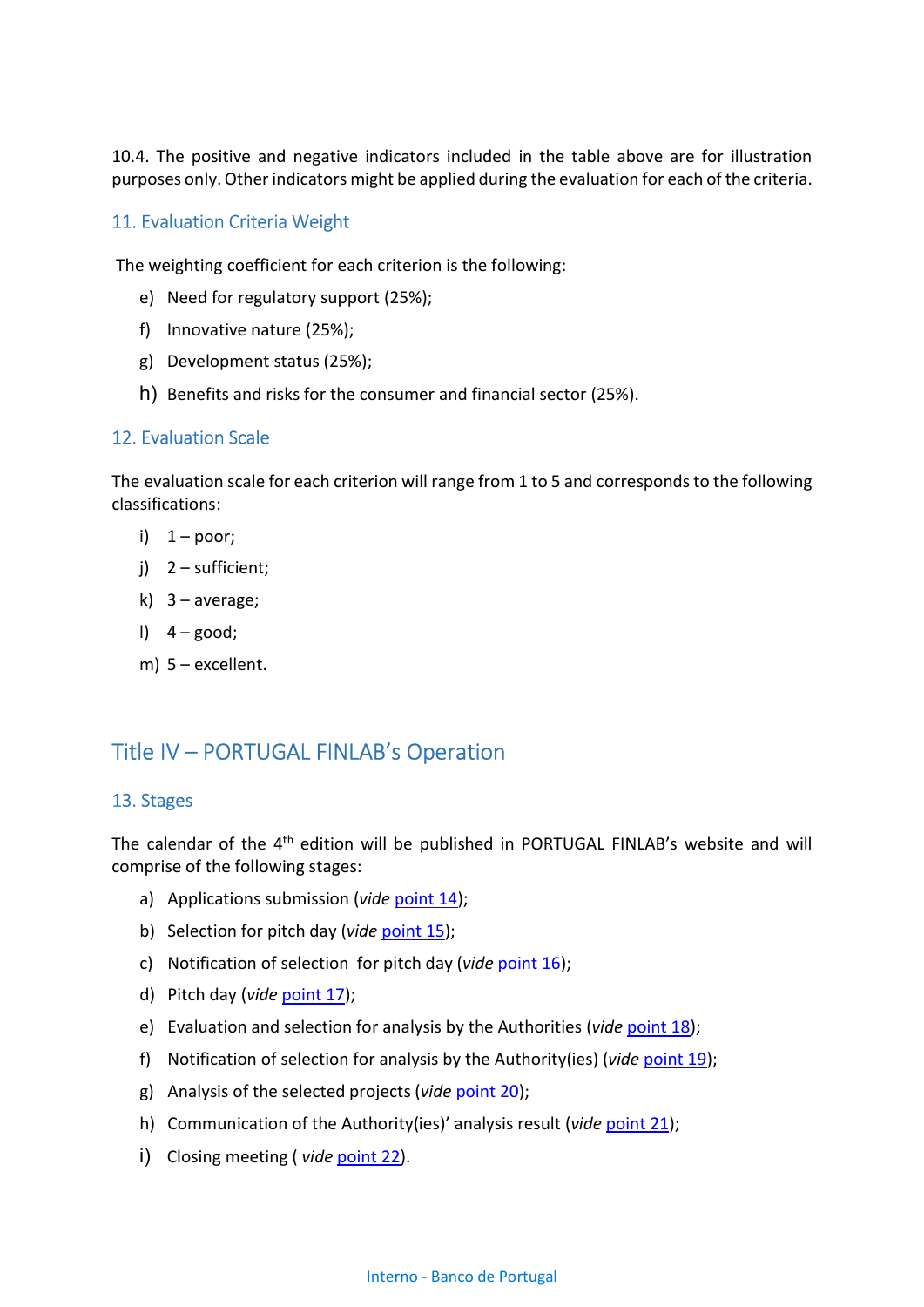10.4. The positive and negative indicators included in the table above are for illustration purposes only. Other indicators might be applied during the evaluation for each of the criteria.

#### 11. Evaluation Criteria Weight

The weighting coefficient for each criterion is the following:

- e) Need for regulatory support (25%);
- f) Innovative nature (25%);
- g) Development status (25%);
- h) Benefits and risks for the consumer and financial sector (25%).

#### 12. Evaluation Scale

The evaluation scale for each criterion will range from 1 to 5 and corresponds to the following classifications:

- i)  $1 poor;$
- j) 2 sufficient;
- k)  $3$  average;
- $1)$  4 good;
- m) 5 excellent.

## Title IV – PORTUGAL FINLAB's Operation

#### 13. Stages

The calendar of the 4<sup>th</sup> edition will be published in PORTUGAL FINLAB's website and will comprise of the following stages:

- a) Applications submission (vide point 14);
- b) Selection for pitch day (vide point 15);
- c) Notification of selection for pitch day (vide point  $16$ );
- d) Pitch day (vide point 17);
- e) Evaluation and selection for analysis by the Authorities (vide point 18);
- f) Notification of selection for analysis by the Authority(ies) (vide point 19);
- g) Analysis of the selected projects (vide point 20);
- h) Communication of the Authority(ies)' analysis result (vide point 21);
- i) Closing meeting ( *vide* point 22).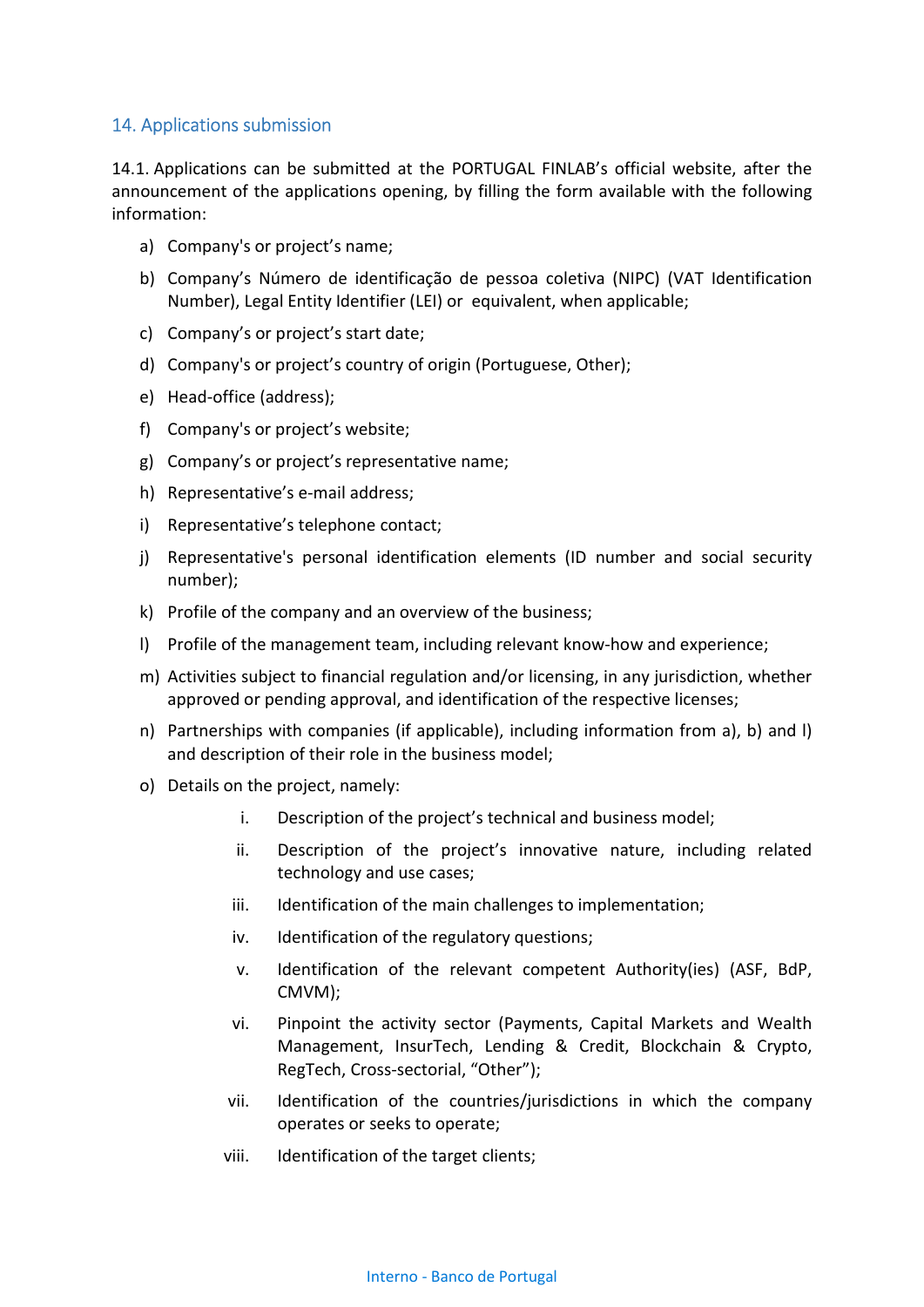### 14. Applications submission

14.1. Applications can be submitted at the PORTUGAL FINLAB's official website, after the announcement of the applications opening, by filling the form available with the following information:

- a) Company's or project's name;
- b) Company's Número de identificação de pessoa coletiva (NIPC) (VAT Identification Number), Legal Entity Identifier (LEI) or equivalent, when applicable;
- c) Company's or project's start date;
- d) Company's or project's country of origin (Portuguese, Other);
- e) Head-office (address);
- f) Company's or project's website;
- g) Company's or project's representative name;
- h) Representative's e-mail address;
- i) Representative's telephone contact;
- j) Representative's personal identification elements (ID number and social security number);
- k) Profile of the company and an overview of the business;
- l) Profile of the management team, including relevant know-how and experience;
- m) Activities subject to financial regulation and/or licensing, in any jurisdiction, whether approved or pending approval, and identification of the respective licenses;
- n) Partnerships with companies (if applicable), including information from a), b) and l) and description of their role in the business model;
- o) Details on the project, namely:
	- i. Description of the project's technical and business model;
	- ii. Description of the project's innovative nature, including related technology and use cases;
	- iii. Identification of the main challenges to implementation;
	- iv. Identification of the regulatory questions;
	- v. Identification of the relevant competent Authority(ies) (ASF, BdP, CMVM);
	- vi. Pinpoint the activity sector (Payments, Capital Markets and Wealth Management, InsurTech, Lending & Credit, Blockchain & Crypto, RegTech, Cross-sectorial, "Other");
	- vii. Identification of the countries/jurisdictions in which the company operates or seeks to operate;
	- viii. Identification of the target clients;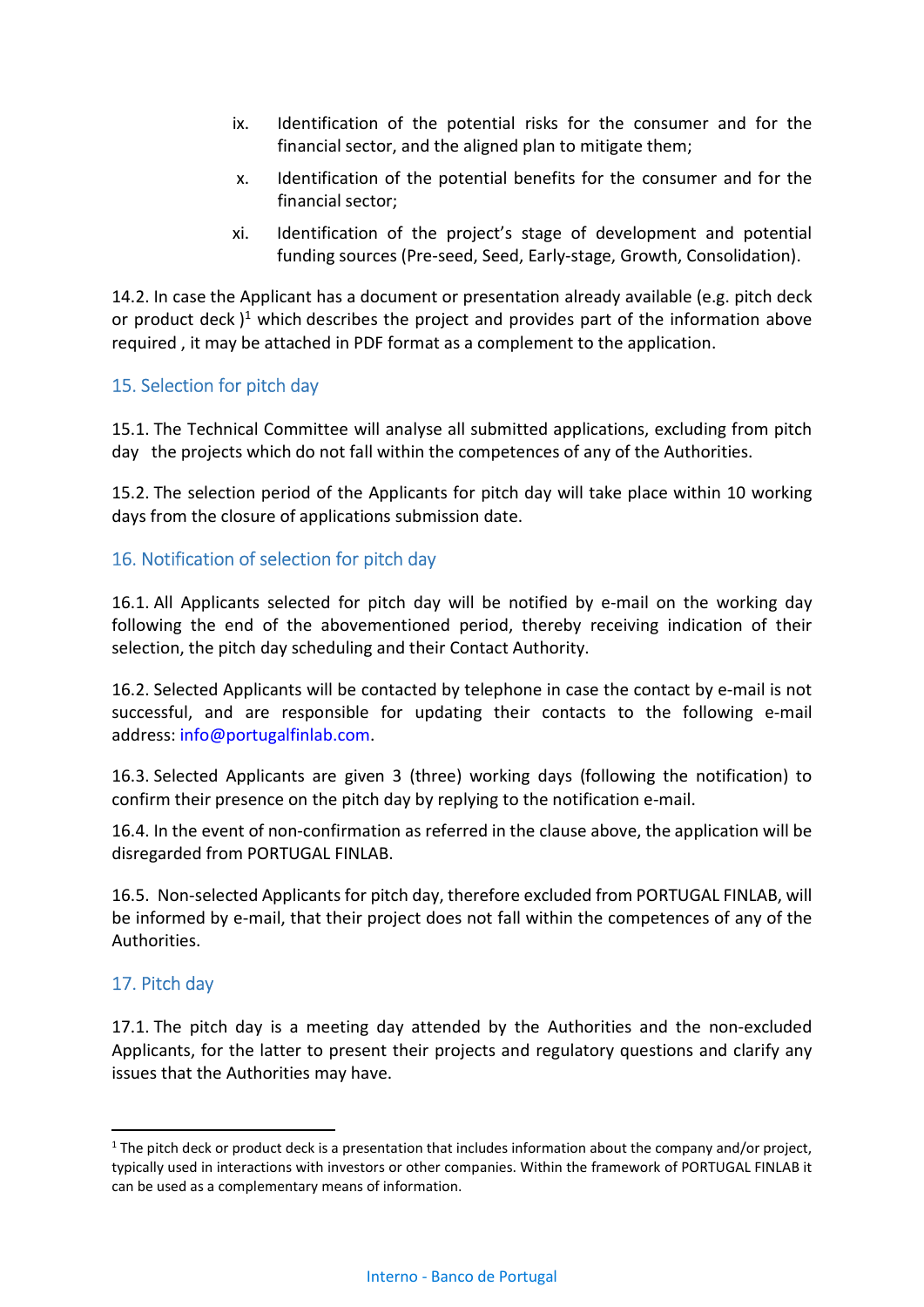- ix. Identification of the potential risks for the consumer and for the financial sector, and the aligned plan to mitigate them;
- x. Identification of the potential benefits for the consumer and for the financial sector;
- xi. Identification of the project's stage of development and potential funding sources (Pre-seed, Seed, Early-stage, Growth, Consolidation).

14.2. In case the Applicant has a document or presentation already available (e.g. pitch deck or product deck)<sup>1</sup> which describes the project and provides part of the information above required , it may be attached in PDF format as a complement to the application.

### 15. Selection for pitch day

15.1. The Technical Committee will analyse all submitted applications, excluding from pitch day the projects which do not fall within the competences of any of the Authorities.

15.2. The selection period of the Applicants for pitch day will take place within 10 working days from the closure of applications submission date.

### 16. Notification of selection for pitch day

16.1. All Applicants selected for pitch day will be notified by e-mail on the working day following the end of the abovementioned period, thereby receiving indication of their selection, the pitch day scheduling and their Contact Authority.

16.2. Selected Applicants will be contacted by telephone in case the contact by e-mail is not successful, and are responsible for updating their contacts to the following e-mail address: info@portugalfinlab.com.

16.3. Selected Applicants are given 3 (three) working days (following the notification) to confirm their presence on the pitch day by replying to the notification e-mail.

16.4. In the event of non-confirmation as referred in the clause above, the application will be disregarded from PORTUGAL FINLAB.

16.5. Non-selected Applicants for pitch day, therefore excluded from PORTUGAL FINLAB, will be informed by e-mail, that their project does not fall within the competences of any of the Authorities.

## 17. Pitch day

-

17.1. The pitch day is a meeting day attended by the Authorities and the non-excluded Applicants, for the latter to present their projects and regulatory questions and clarify any issues that the Authorities may have.

 $1$  The pitch deck or product deck is a presentation that includes information about the company and/or project, typically used in interactions with investors or other companies. Within the framework of PORTUGAL FINLAB it can be used as a complementary means of information.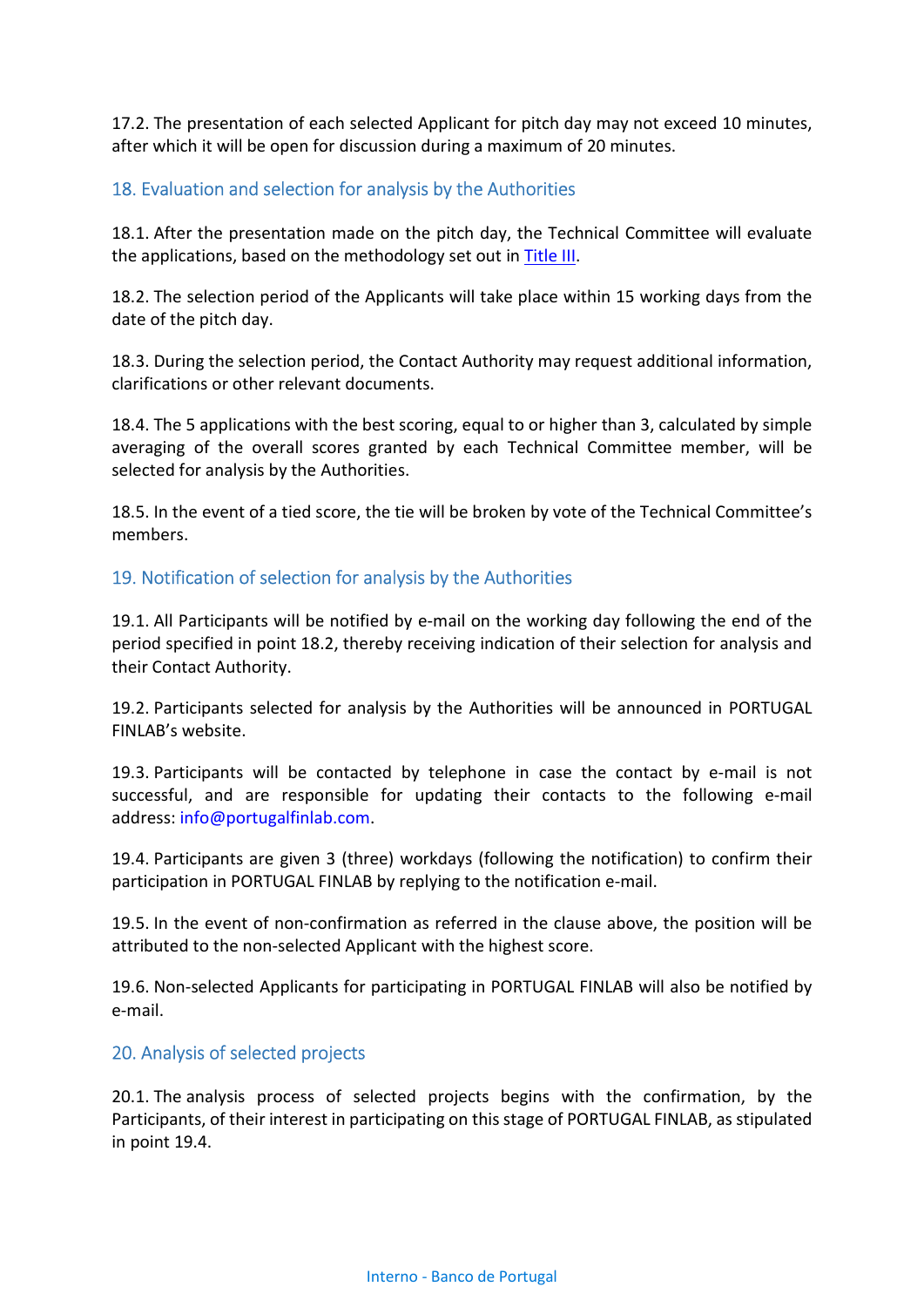17.2. The presentation of each selected Applicant for pitch day may not exceed 10 minutes, after which it will be open for discussion during a maximum of 20 minutes.

### 18. Evaluation and selection for analysis by the Authorities

18.1. After the presentation made on the pitch day, the Technical Committee will evaluate the applications, based on the methodology set out in Title III.

18.2. The selection period of the Applicants will take place within 15 working days from the date of the pitch day.

18.3. During the selection period, the Contact Authority may request additional information, clarifications or other relevant documents.

18.4. The 5 applications with the best scoring, equal to or higher than 3, calculated by simple averaging of the overall scores granted by each Technical Committee member, will be selected for analysis by the Authorities.

18.5. In the event of a tied score, the tie will be broken by vote of the Technical Committee's members.

#### 19. Notification of selection for analysis by the Authorities

19.1. All Participants will be notified by e-mail on the working day following the end of the period specified in point 18.2, thereby receiving indication of their selection for analysis and their Contact Authority.

19.2. Participants selected for analysis by the Authorities will be announced in PORTUGAL FINLAB's website.

19.3. Participants will be contacted by telephone in case the contact by e-mail is not successful, and are responsible for updating their contacts to the following e-mail address: info@portugalfinlab.com.

19.4. Participants are given 3 (three) workdays (following the notification) to confirm their participation in PORTUGAL FINLAB by replying to the notification e-mail.

19.5. In the event of non-confirmation as referred in the clause above, the position will be attributed to the non-selected Applicant with the highest score.

19.6. Non-selected Applicants for participating in PORTUGAL FINLAB will also be notified by e-mail.

#### 20. Analysis of selected projects

20.1. The analysis process of selected projects begins with the confirmation, by the Participants, of their interest in participating on this stage of PORTUGAL FINLAB, as stipulated in point 19.4.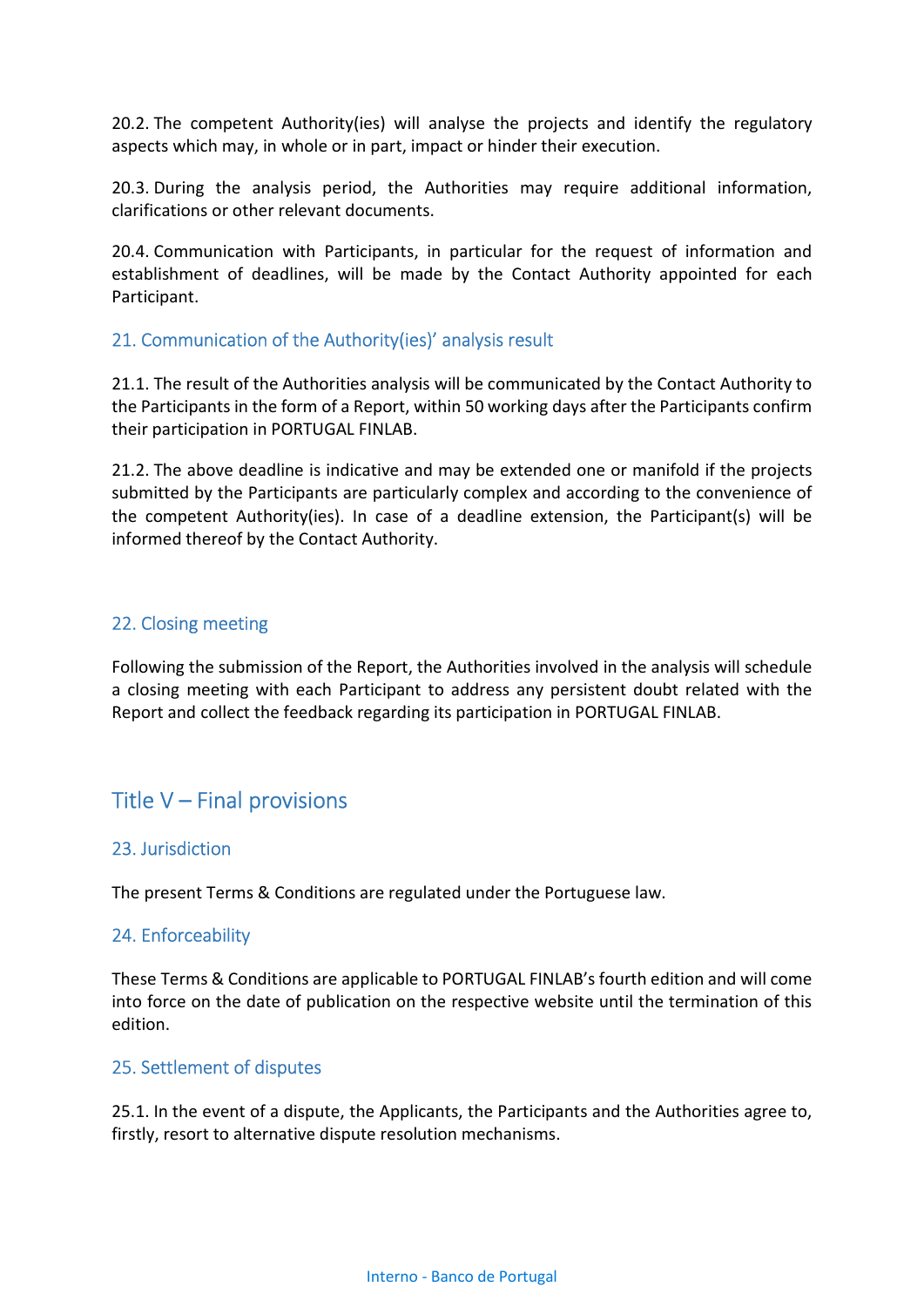20.2. The competent Authority(ies) will analyse the projects and identify the regulatory aspects which may, in whole or in part, impact or hinder their execution.

20.3. During the analysis period, the Authorities may require additional information, clarifications or other relevant documents.

20.4. Communication with Participants, in particular for the request of information and establishment of deadlines, will be made by the Contact Authority appointed for each Participant.

#### 21. Communication of the Authority(ies)' analysis result

21.1. The result of the Authorities analysis will be communicated by the Contact Authority to the Participants in the form of a Report, within 50 working days after the Participants confirm their participation in PORTUGAL FINLAB.

21.2. The above deadline is indicative and may be extended one or manifold if the projects submitted by the Participants are particularly complex and according to the convenience of the competent Authority(ies). In case of a deadline extension, the Participant(s) will be informed thereof by the Contact Authority.

#### 22. Closing meeting

Following the submission of the Report, the Authorities involved in the analysis will schedule a closing meeting with each Participant to address any persistent doubt related with the Report and collect the feedback regarding its participation in PORTUGAL FINLAB.

## Title V – Final provisions

#### 23. Jurisdiction

The present Terms & Conditions are regulated under the Portuguese law.

#### 24. Enforceability

These Terms & Conditions are applicable to PORTUGAL FINLAB's fourth edition and will come into force on the date of publication on the respective website until the termination of this edition.

#### 25. Settlement of disputes

25.1. In the event of a dispute, the Applicants, the Participants and the Authorities agree to, firstly, resort to alternative dispute resolution mechanisms.